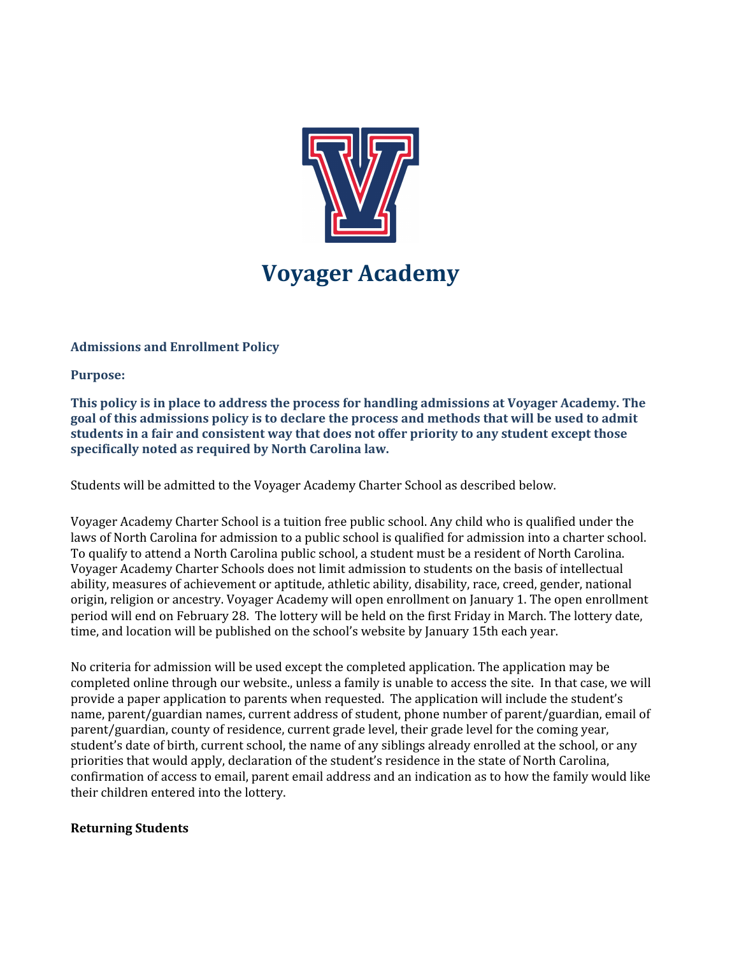

# **Voyager Academy**

## **Admissions and Enrollment Policy**

**Purpose:**

**This policy is in place to address the process for handling admissions at Voyager Academy. The goal of this admissions policy is to declare the process and methods that will be used to admit students in a fair and consistent way that does not offer priority to any student except those specifically noted as required by North Carolina law.**

Students will be admitted to the Voyager Academy Charter School as described below.

Voyager Academy Charter School is a tuition free public school. Any child who is qualified under the laws of North Carolina for admission to a public school is qualified for admission into a charter school. To qualify to attend a North Carolina public school, a student must be a resident of North Carolina. Voyager Academy Charter Schools does not limit admission to students on the basis of intellectual ability, measures of achievement or aptitude, athletic ability, disability, race, creed, gender, national origin, religion or ancestry. Voyager Academy will open enrollment on January 1. The open enrollment period will end on February 28. The lottery will be held on the first Friday in March. The lottery date, time, and location will be published on the school's website by January 15th each year.

No criteria for admission will be used except the completed application. The application may be completed online through our website., unless a family is unable to access the site. In that case, we will provide a paper application to parents when requested. The application will include the student's name, parent/guardian names, current address of student, phone number of parent/guardian, email of parent/guardian, county of residence, current grade level, their grade level for the coming year, student's date of birth, current school, the name of any siblings already enrolled at the school, or any priorities that would apply, declaration of the student's residence in the state of North Carolina, confirmation of access to email, parent email address and an indication as to how the family would like their children entered into the lottery.

#### **Returning Students**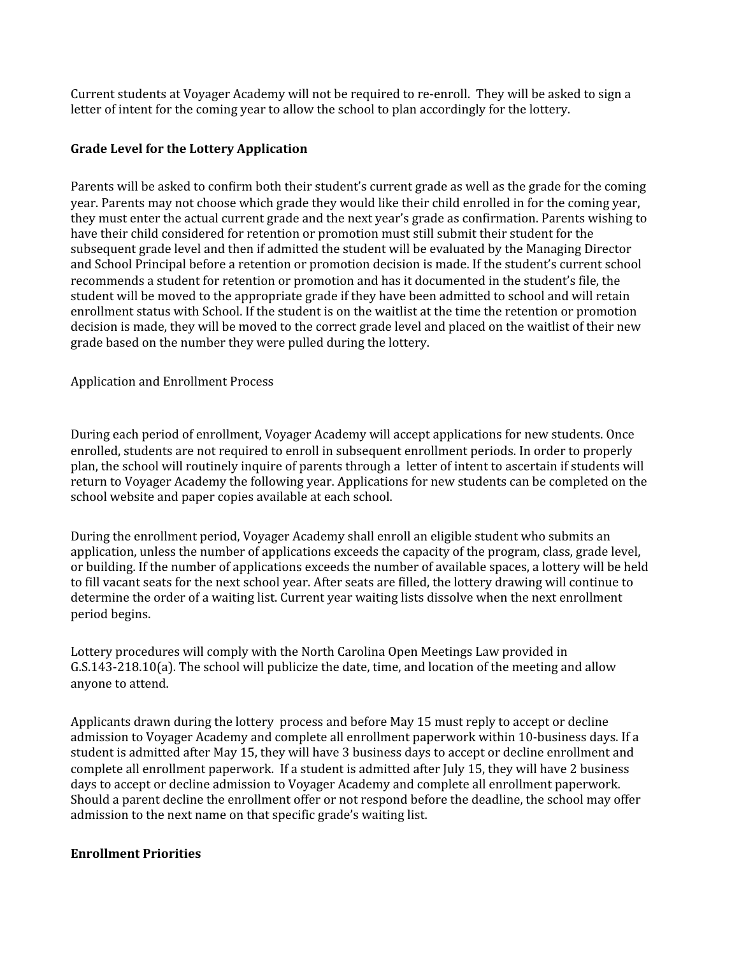Current students at Voyager Academy will not be required to re-enroll. They will be asked to sign a letter of intent for the coming year to allow the school to plan accordingly for the lottery.

## **Grade Level for the Lottery Application**

Parents will be asked to confirm both their student's current grade as well as the grade for the coming year. Parents may not choose which grade they would like their child enrolled in for the coming year, they must enter the actual current grade and the next year's grade as confirmation. Parents wishing to have their child considered for retention or promotion must still submit their student for the subsequent grade level and then if admitted the student will be evaluated by the Managing Director and School Principal before a retention or promotion decision is made. If the student's current school recommends a student for retention or promotion and has it documented in the student's file, the student will be moved to the appropriate grade if they have been admitted to school and will retain enrollment status with School. If the student is on the waitlist at the time the retention or promotion decision is made, they will be moved to the correct grade level and placed on the waitlist of their new grade based on the number they were pulled during the lottery.

Application and Enrollment Process

During each period of enrollment, Voyager Academy will accept applications for new students. Once enrolled, students are not required to enroll in subsequent enrollment periods. In order to properly plan, the school will routinely inquire of parents through a letter of intent to ascertain if students will return to Voyager Academy the following year. Applications for new students can be completed on the school website and paper copies available at each school.

During the enrollment period, Voyager Academy shall enroll an eligible student who submits an application, unless the number of applications exceeds the capacity of the program, class, grade level, or building. If the number of applications exceeds the number of available spaces, a lottery will be held to fill vacant seats for the next school year. After seats are filled, the lottery drawing will continue to determine the order of a waiting list. Current year waiting lists dissolve when the next enrollment period begins.

Lottery procedures will comply with the North Carolina Open Meetings Law provided in G.S.143-218.10(a). The school will publicize the date, time, and location of the meeting and allow anyone to attend.

Applicants drawn during the lottery process and before May 15 must reply to accept or decline admission to Voyager Academy and complete all enrollment paperwork within 10-business days. If a student is admitted after May 15, they will have 3 business days to accept or decline enrollment and complete all enrollment paperwork. If a student is admitted after July 15, they will have 2 business days to accept or decline admission to Voyager Academy and complete all enrollment paperwork. Should a parent decline the enrollment offer or not respond before the deadline, the school may offer admission to the next name on that specific grade's waiting list.

#### **Enrollment Priorities**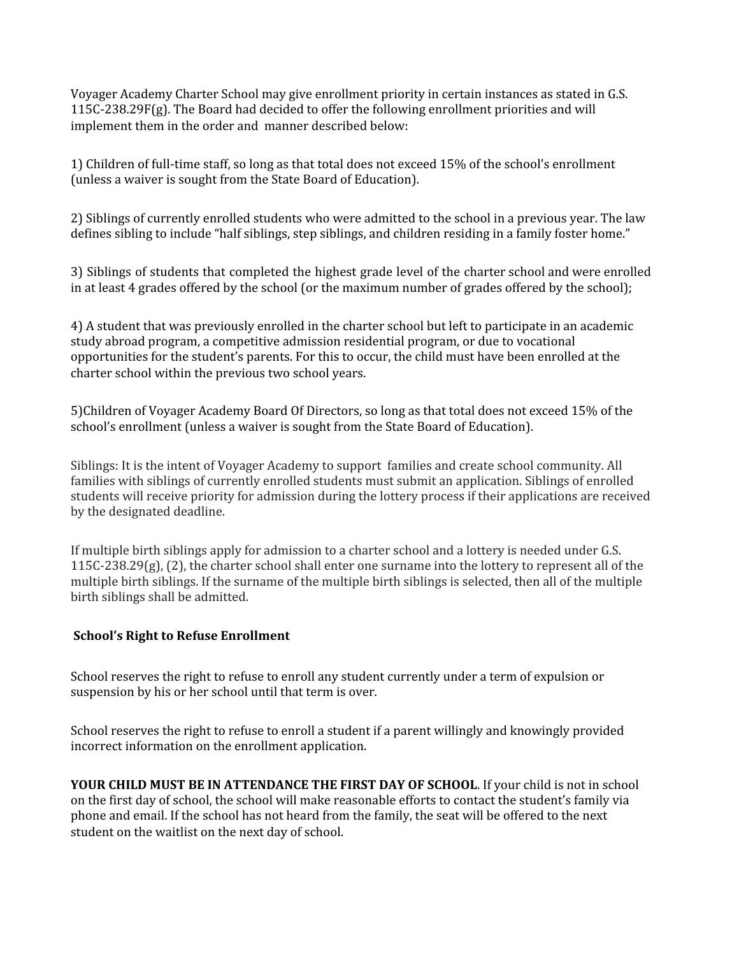Voyager Academy Charter School may give enrollment priority in certain instances as stated in G.S. 115C-238.29F(g). The Board had decided to offer the following enrollment priorities and will implement them in the order and manner described below:

1) Children of full-time staff, so long as that total does not exceed 15% of the school's enrollment (unless a waiver is sought from the State Board of Education).

2) Siblings of currently enrolled students who were admitted to the school in a previous year. The law defines sibling to include "half siblings, step siblings, and children residing in a family foster home."

3) Siblings of students that completed the highest grade level of the charter school and were enrolled in at least 4 grades offered by the school (or the maximum number of grades offered by the school);

4) A student that was previously enrolled in the charter school but left to participate in an academic study abroad program, a competitive admission residential program, or due to vocational opportunities for the student's parents. For this to occur, the child must have been enrolled at the charter school within the previous two school years.

5)Children of Voyager Academy Board Of Directors, so long as that total does not exceed 15% of the school's enrollment (unless a waiver is sought from the State Board of Education).

Siblings: It is the intent of Voyager Academy to support families and create school community. All families with siblings of currently enrolled students must submit an application. Siblings of enrolled students will receive priority for admission during the lottery process if their applications are received by the designated deadline.

If multiple birth siblings apply for admission to a charter school and a lottery is needed under G.S.  $115C-238.29(g)$ , (2), the charter school shall enter one surname into the lottery to represent all of the multiple birth siblings. If the surname of the multiple birth siblings is selected, then all of the multiple birth siblings shall be admitted.

## **School's Right to Refuse Enrollment**

School reserves the right to refuse to enroll any student currently under a term of expulsion or suspension by his or her school until that term is over.

School reserves the right to refuse to enroll a student if a parent willingly and knowingly provided incorrect information on the enrollment application.

**YOUR CHILD MUST BE IN ATTENDANCE THE FIRST DAY OF SCHOOL**. If your child is not in school on the first day of school, the school will make reasonable efforts to contact the student's family via phone and email. If the school has not heard from the family, the seat will be offered to the next student on the waitlist on the next day of school.